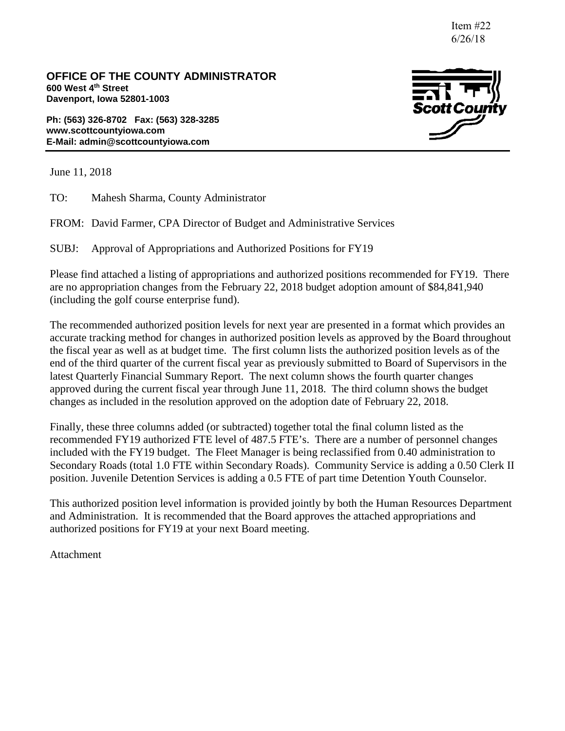Item #22 6/26/18

**OFFICE OF THE COUNTY ADMINISTRATOR 600 West 4th Street Davenport, Iowa 52801-1003**

**Ph: (563) 326-8702 Fax: (563) 328-3285 www.scottcountyiowa.com E-Mail: admin@scottcountyiowa.com**



June 11, 2018

TO: Mahesh Sharma, County Administrator

FROM: David Farmer, CPA Director of Budget and Administrative Services

SUBJ: Approval of Appropriations and Authorized Positions for FY19

Please find attached a listing of appropriations and authorized positions recommended for FY19. There are no appropriation changes from the February 22, 2018 budget adoption amount of \$84,841,940 (including the golf course enterprise fund).

The recommended authorized position levels for next year are presented in a format which provides an accurate tracking method for changes in authorized position levels as approved by the Board throughout the fiscal year as well as at budget time. The first column lists the authorized position levels as of the end of the third quarter of the current fiscal year as previously submitted to Board of Supervisors in the latest Quarterly Financial Summary Report. The next column shows the fourth quarter changes approved during the current fiscal year through June 11, 2018. The third column shows the budget changes as included in the resolution approved on the adoption date of February 22, 2018.

Finally, these three columns added (or subtracted) together total the final column listed as the recommended FY19 authorized FTE level of 487.5 FTE's. There are a number of personnel changes included with the FY19 budget. The Fleet Manager is being reclassified from 0.40 administration to Secondary Roads (total 1.0 FTE within Secondary Roads). Community Service is adding a 0.50 Clerk II position. Juvenile Detention Services is adding a 0.5 FTE of part time Detention Youth Counselor.

This authorized position level information is provided jointly by both the Human Resources Department and Administration. It is recommended that the Board approves the attached appropriations and authorized positions for FY19 at your next Board meeting.

Attachment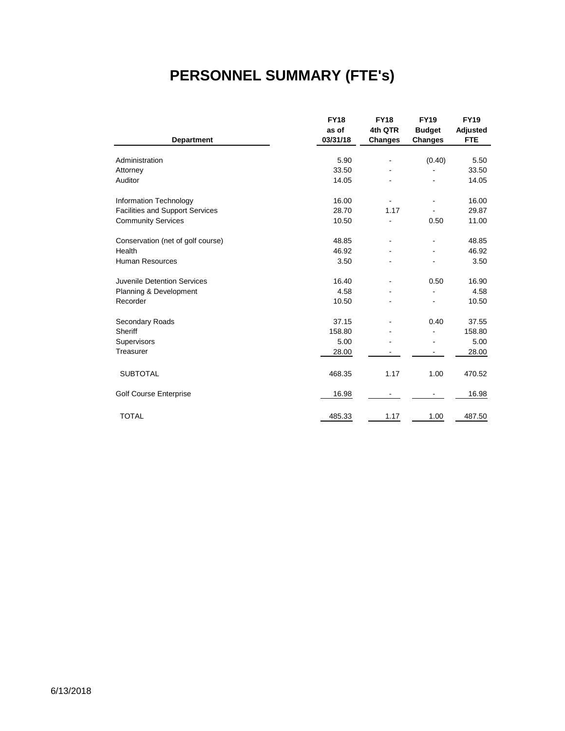# **PERSONNEL SUMMARY (FTE's)**

|                                        | <b>FY18</b> | <b>FY18</b>    | <b>FY19</b>    | <b>FY19</b> |
|----------------------------------------|-------------|----------------|----------------|-------------|
|                                        | as of       | 4th QTR        | <b>Budget</b>  | Adjusted    |
| <b>Department</b>                      | 03/31/18    | <b>Changes</b> | <b>Changes</b> | <b>FTE</b>  |
|                                        |             |                |                |             |
| Administration                         | 5.90        |                | (0.40)         | 5.50        |
| Attorney                               | 33.50       |                |                | 33.50       |
| Auditor                                | 14.05       |                |                | 14.05       |
| Information Technology                 | 16.00       |                |                | 16.00       |
| <b>Facilities and Support Services</b> | 28.70       | 1.17           |                | 29.87       |
| <b>Community Services</b>              | 10.50       |                | 0.50           | 11.00       |
| Conservation (net of golf course)      | 48.85       |                |                | 48.85       |
| Health                                 | 46.92       |                |                | 46.92       |
| Human Resources                        | 3.50        |                |                | 3.50        |
| Juvenile Detention Services            | 16.40       | ٠              | 0.50           | 16.90       |
| Planning & Development                 | 4.58        |                |                | 4.58        |
| Recorder                               | 10.50       |                |                | 10.50       |
| Secondary Roads                        | 37.15       |                | 0.40           | 37.55       |
| Sheriff                                | 158.80      |                |                | 158.80      |
| Supervisors                            | 5.00        |                |                | 5.00        |
| Treasurer                              | 28.00       |                |                | 28.00       |
|                                        |             |                |                |             |
| <b>SUBTOTAL</b>                        | 468.35      | 1.17           | 1.00           | 470.52      |
| <b>Golf Course Enterprise</b>          | 16.98       |                |                | 16.98       |
| <b>TOTAL</b>                           | 485.33      | 1.17           | 1.00           | 487.50      |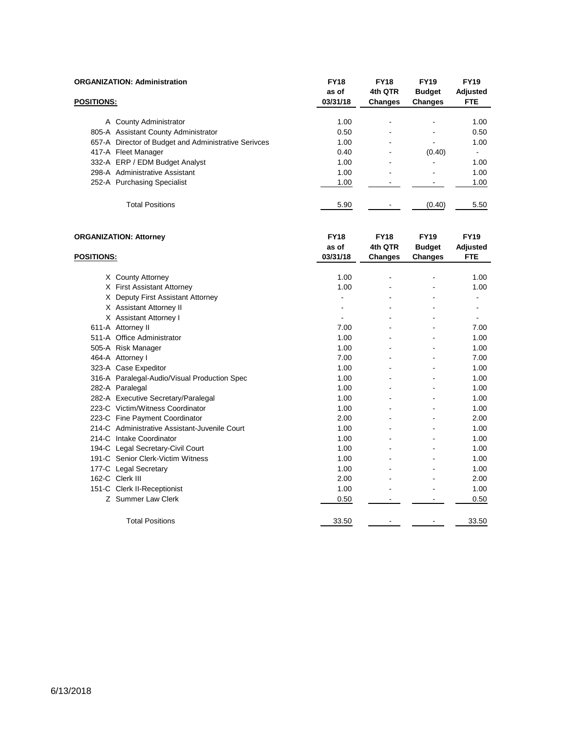|                   | <b>ORGANIZATION: Administration</b>                  | <b>FY18</b><br>as of | <b>FY18</b><br>4th QTR   | <b>FY19</b><br><b>Budget</b> | <b>FY19</b><br>Adjusted  |
|-------------------|------------------------------------------------------|----------------------|--------------------------|------------------------------|--------------------------|
| <b>POSITIONS:</b> |                                                      | 03/31/18             | <b>Changes</b>           | <b>Changes</b>               | <b>FTE</b>               |
|                   | A County Administrator                               | 1.00                 | $\overline{\phantom{a}}$ |                              | 1.00                     |
|                   | 805-A Assistant County Administrator                 | 0.50                 | $\overline{\phantom{a}}$ |                              | 0.50                     |
|                   | 657-A Director of Budget and Administrative Serivces | 1.00                 | $\overline{\phantom{a}}$ |                              | 1.00                     |
|                   | 417-A Fleet Manager                                  | 0.40                 | $\overline{\phantom{a}}$ | (0.40)                       | $\overline{\phantom{a}}$ |
|                   | 332-A ERP / EDM Budget Analyst                       | 1.00                 | $\overline{\phantom{a}}$ |                              | 1.00                     |
|                   | 298-A Administrative Assistant                       | 1.00                 | $\overline{\phantom{a}}$ |                              | 1.00                     |
|                   | 252-A Purchasing Specialist                          | 1.00                 |                          |                              | 1.00                     |
|                   | <b>Total Positions</b>                               | 5.90                 |                          | (0.40)                       | 5.50                     |

| <b>ORGANIZATION: Attorney</b> |                                               | <b>FY18</b> | <b>FY18</b> | <b>FY19</b>    | <b>FY19</b>    |
|-------------------------------|-----------------------------------------------|-------------|-------------|----------------|----------------|
|                               |                                               | as of       | 4th QTR     | <b>Budget</b>  | Adjusted       |
| <b>POSITIONS:</b>             |                                               | 03/31/18    | Changes     | Changes        | <b>FTE</b>     |
|                               |                                               |             |             |                |                |
|                               | X County Attorney                             | 1.00        |             |                | 1.00           |
|                               | X First Assistant Attorney                    | 1.00        |             |                | 1.00           |
| X.                            | Deputy First Assistant Attorney               |             |             |                |                |
|                               | X Assistant Attorney II                       |             |             |                | $\blacksquare$ |
|                               | X Assistant Attorney I                        |             |             |                | $\blacksquare$ |
|                               | 611-A Attorney II                             | 7.00        |             |                | 7.00           |
|                               | 511-A Office Administrator                    | 1.00        |             |                | 1.00           |
|                               | 505-A Risk Manager                            | 1.00        |             |                | 1.00           |
|                               | 464-A Attorney I                              | 7.00        |             |                | 7.00           |
|                               | 323-A Case Expeditor                          | 1.00        |             | $\blacksquare$ | 1.00           |
|                               | 316-A Paralegal-Audio/Visual Production Spec  | 1.00        |             |                | 1.00           |
|                               | 282-A Paralegal                               | 1.00        |             |                | 1.00           |
|                               | 282-A Executive Secretary/Paralegal           | 1.00        |             |                | 1.00           |
|                               | 223-C Victim/Witness Coordinator              | 1.00        |             |                | 1.00           |
|                               | 223-C Fine Payment Coordinator                | 2.00        |             |                | 2.00           |
|                               | 214-C Administrative Assistant-Juvenile Court | 1.00        |             |                | 1.00           |
|                               | 214-C Intake Coordinator                      | 1.00        |             |                | 1.00           |
|                               | 194-C Legal Secretary-Civil Court             | 1.00        |             |                | 1.00           |
|                               | 191-C Senior Clerk-Victim Witness             | 1.00        |             |                | 1.00           |
|                               | 177-C Legal Secretary                         | 1.00        |             |                | 1.00           |
|                               | 162-C Clerk III                               | 2.00        |             |                | 2.00           |
|                               | 151-C Clerk II-Receptionist                   | 1.00        |             |                | 1.00           |
|                               | Z Summer Law Clerk                            | 0.50        |             |                | 0.50           |
|                               | <b>Total Positions</b>                        | 33.50       |             |                | 33.50          |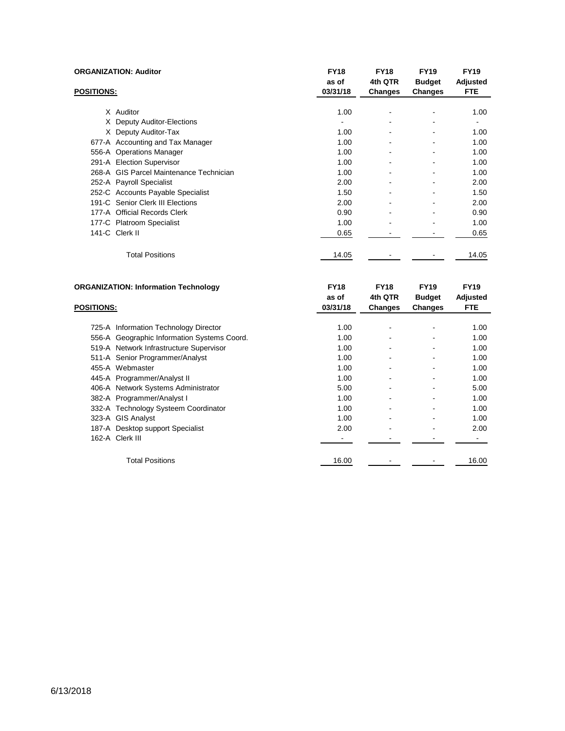|                   | <b>ORGANIZATION: Auditor</b>            | <b>FY18</b><br>as of | <b>FY18</b><br>4th QTR       | <b>FY19</b><br><b>Budget</b> | <b>FY19</b><br>Adjusted |
|-------------------|-----------------------------------------|----------------------|------------------------------|------------------------------|-------------------------|
| <b>POSITIONS:</b> |                                         | 03/31/18             | Changes                      | Changes                      | <b>FTE</b>              |
|                   | X Auditor                               | 1.00                 | $\qquad \qquad \blacksquare$ | ۰                            | 1.00                    |
|                   | X Deputy Auditor-Elections              |                      |                              |                              |                         |
|                   | X Deputy Auditor-Tax                    | 1.00                 | ۰                            |                              | 1.00                    |
|                   | 677-A Accounting and Tax Manager        | 1.00                 | -                            |                              | 1.00                    |
|                   | 556-A Operations Manager                | 1.00                 | ۰                            | ۰                            | 1.00                    |
|                   | 291-A Election Supervisor               | 1.00                 | ۰                            |                              | 1.00                    |
|                   | 268-A GIS Parcel Maintenance Technician | 1.00                 | ۰                            |                              | 1.00                    |
|                   | 252-A Payroll Specialist                | 2.00                 |                              |                              | 2.00                    |
|                   | 252-C Accounts Payable Specialist       | 1.50                 | ۰                            |                              | 1.50                    |
|                   | 191-C Senior Clerk III Elections        | 2.00                 |                              |                              | 2.00                    |
|                   | 177-A Official Records Clerk            | 0.90                 |                              |                              | 0.90                    |
|                   | 177-C Platroom Specialist               | 1.00                 |                              |                              | 1.00                    |
|                   | 141-C Clerk II                          | 0.65                 |                              |                              | 0.65                    |
|                   | <b>Total Positions</b>                  | 14.05                |                              |                              | 14.05                   |

| <b>ORGANIZATION: Information Technology</b> |                                             | <b>FY18</b> | <b>FY18</b>    | <b>FY19</b>    | <b>FY19</b> |
|---------------------------------------------|---------------------------------------------|-------------|----------------|----------------|-------------|
|                                             |                                             | as of       | 4th QTR        | <b>Budget</b>  | Adjusted    |
| <b>POSITIONS:</b>                           |                                             | 03/31/18    | <b>Changes</b> | <b>Changes</b> | <b>FTE</b>  |
|                                             |                                             |             |                |                |             |
|                                             | 725-A Information Technology Director       | 1.00        |                |                | 1.00        |
|                                             | 556-A Geographic Information Systems Coord. | 1.00        |                |                | 1.00        |
|                                             | 519-A Network Infrastructure Supervisor     | 1.00        |                |                | 1.00        |
|                                             | 511-A Senior Programmer/Analyst             | 1.00        |                |                | 1.00        |
|                                             | 455-A Webmaster                             | 1.00        |                |                | 1.00        |
|                                             | 445-A Programmer/Analyst II                 | 1.00        |                |                | 1.00        |
|                                             | 406-A Network Systems Administrator         | 5.00        |                |                | 5.00        |
|                                             | 382-A Programmer/Analyst I                  | 1.00        |                |                | 1.00        |
|                                             | 332-A Technology Systeem Coordinator        | 1.00        |                |                | 1.00        |
|                                             | 323-A GIS Analyst                           | 1.00        |                |                | 1.00        |
|                                             | 187-A Desktop support Specialist            | 2.00        |                |                | 2.00        |
|                                             | 162-A Clerk III                             |             |                |                |             |
|                                             | <b>Total Positions</b>                      | 16.00       |                |                | 16.00       |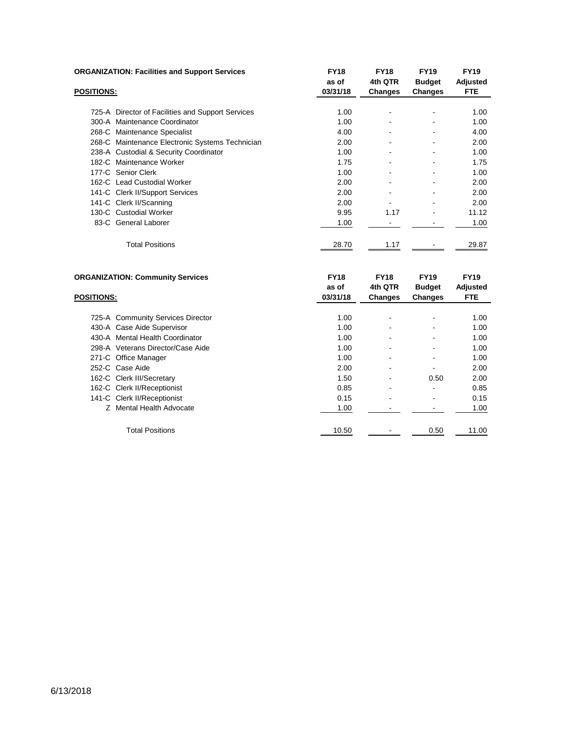|                   | <b>ORGANIZATION: Facilities and Support Services</b> | <b>FY18</b><br>as of | <b>FY18</b><br>4th QTR | <b>FY19</b><br><b>Budget</b> | <b>FY19</b><br>Adjusted |
|-------------------|------------------------------------------------------|----------------------|------------------------|------------------------------|-------------------------|
| <b>POSITIONS:</b> |                                                      | 03/31/18             | <b>Changes</b>         | <b>Changes</b>               | <b>FTE</b>              |
|                   | 725-A Director of Facilities and Support Services    | 1.00                 |                        |                              | 1.00                    |
|                   | 300-A Maintenance Coordinator                        | 1.00                 |                        |                              | 1.00                    |
|                   | 268-C Maintenance Specialist                         | 4.00                 |                        |                              | 4.00                    |
|                   | 268-C Maintenance Electronic Systems Technician      | 2.00                 |                        |                              | 2.00                    |
|                   | 238-A Custodial & Security Coordinator               | 1.00                 | ۰                      |                              | 1.00                    |
|                   | 182-C Maintenance Worker                             | 1.75                 |                        |                              | 1.75                    |
|                   | 177-C Senior Clerk                                   | 1.00                 |                        |                              | 1.00                    |
|                   | 162-C Lead Custodial Worker                          | 2.00                 |                        |                              | 2.00                    |
|                   | 141-C Clerk II/Support Services                      | 2.00                 |                        |                              | 2.00                    |
|                   | 141-C Clerk II/Scanning                              | 2.00                 |                        |                              | 2.00                    |
|                   | 130-C Custodial Worker                               | 9.95                 | 1.17                   |                              | 11.12                   |
|                   | 83-C General Laborer                                 | 1.00                 |                        |                              | 1.00                    |
|                   | <b>Total Positions</b>                               | 28.70                | 1.17                   |                              | 29.87                   |

| <b>ORGANIZATION: Community Services</b> |                                   | <b>FY18</b> | <b>FY18</b>    | <b>FY19</b>   | <b>FY19</b> |
|-----------------------------------------|-----------------------------------|-------------|----------------|---------------|-------------|
|                                         |                                   | as of       | 4th QTR        | <b>Budget</b> | Adjusted    |
| <b>POSITIONS:</b>                       |                                   | 03/31/18    | <b>Changes</b> | Changes       | <b>FTE</b>  |
|                                         |                                   |             |                |               |             |
|                                         | 725-A Community Services Director | 1.00        |                | ۰             | 1.00        |
|                                         | 430-A Case Aide Supervisor        | 1.00        |                | ۰             | 1.00        |
|                                         | 430-A Mental Health Coordinator   | 1.00        |                |               | 1.00        |
|                                         | 298-A Veterans Director/Case Aide | 1.00        |                | ۰             | 1.00        |
| 271-C Office Manager                    |                                   | 1.00        |                | ۰             | 1.00        |
| 252-C Case Aide                         |                                   | 2.00        |                |               | 2.00        |
| 162-C Clerk III/Secretary               |                                   | 1.50        |                | 0.50          | 2.00        |
|                                         | 162-C Clerk II/Receptionist       | 0.85        |                |               | 0.85        |
|                                         | 141-C Clerk II/Receptionist       | 0.15        |                | ۰             | 0.15        |
|                                         | Z Mental Health Advocate          | 1.00        |                |               | 1.00        |
|                                         |                                   |             |                |               |             |
|                                         | <b>Total Positions</b>            | 10.50       |                | 0.50          | 11.00       |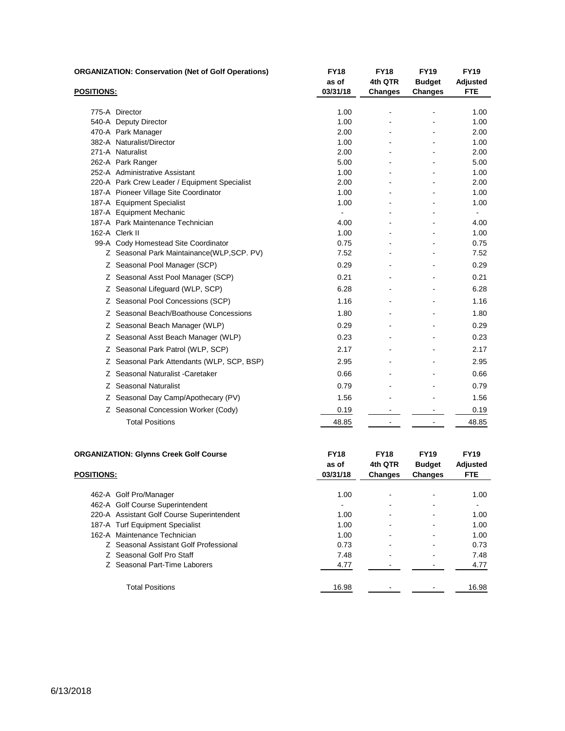|                   | <b>ORGANIZATION: Conservation (Net of Golf Operations)</b>    | <b>FY18</b><br>as of | <b>FY18</b><br>4th QTR | <b>FY19</b><br><b>Budget</b> | <b>FY19</b><br>Adjusted |
|-------------------|---------------------------------------------------------------|----------------------|------------------------|------------------------------|-------------------------|
| <b>POSITIONS:</b> |                                                               | 03/31/18             | <b>Changes</b>         | <b>Changes</b>               | <b>FTE</b>              |
|                   | 775-A Director                                                | 1.00                 |                        |                              | 1.00                    |
|                   | 540-A Deputy Director                                         | 1.00                 |                        |                              | 1.00                    |
|                   | 470-A Park Manager                                            | 2.00                 |                        |                              | 2.00                    |
|                   | 382-A Naturalist/Director                                     | 1.00                 |                        |                              | 1.00                    |
|                   | 271-A Naturalist                                              | 2.00                 |                        |                              | 2.00                    |
|                   | 262-A Park Ranger                                             | 5.00                 |                        |                              | 5.00                    |
|                   | 252-A Administrative Assistant                                | 1.00                 |                        |                              | 1.00                    |
|                   | 220-A Park Crew Leader / Equipment Specialist                 | 2.00                 |                        |                              | 2.00                    |
|                   | 187-A Pioneer Village Site Coordinator                        | 1.00                 |                        |                              | 1.00                    |
|                   | 187-A Equipment Specialist                                    | 1.00                 |                        |                              | 1.00                    |
|                   | 187-A Equipment Mechanic<br>187-A Park Maintenance Technician |                      |                        |                              |                         |
|                   | 162-A Clerk II                                                | 4.00<br>1.00         |                        |                              | 4.00<br>1.00            |
|                   | 99-A Cody Homestead Site Coordinator                          | 0.75                 |                        |                              | 0.75                    |
|                   | Z Seasonal Park Maintainance(WLP,SCP. PV)                     | 7.52                 |                        |                              | 7.52                    |
|                   | Z Seasonal Pool Manager (SCP)                                 | 0.29                 |                        |                              | 0.29                    |
|                   | Z Seasonal Asst Pool Manager (SCP)                            | 0.21                 |                        |                              | 0.21                    |
|                   | Z Seasonal Lifequard (WLP, SCP)                               | 6.28                 |                        |                              | 6.28                    |
|                   | Z Seasonal Pool Concessions (SCP)                             | 1.16                 |                        |                              | 1.16                    |
|                   | Z Seasonal Beach/Boathouse Concessions                        | 1.80                 |                        |                              | 1.80                    |
|                   | Z Seasonal Beach Manager (WLP)                                | 0.29                 |                        |                              | 0.29                    |
|                   | Z Seasonal Asst Beach Manager (WLP)                           | 0.23                 |                        |                              | 0.23                    |
|                   | Z Seasonal Park Patrol (WLP, SCP)                             | 2.17                 |                        |                              | 2.17                    |
|                   | Z Seasonal Park Attendants (WLP, SCP, BSP)                    | 2.95                 |                        |                              | 2.95                    |
|                   | Z Seasonal Naturalist - Caretaker                             | 0.66                 |                        |                              | 0.66                    |
|                   | Z Seasonal Naturalist                                         | 0.79                 |                        |                              | 0.79                    |
|                   | Z Seasonal Day Camp/Apothecary (PV)                           | 1.56                 |                        |                              | 1.56                    |
|                   | Z Seasonal Concession Worker (Cody)                           | 0.19                 |                        |                              | 0.19                    |
|                   | <b>Total Positions</b>                                        | 48.85                |                        |                              | 48.85                   |

|                        | <b>ORGANIZATION: Glynns Creek Golf Course</b> | <b>FY18</b><br>as of | <b>FY18</b><br>4th QTR | <b>FY19</b><br><b>Budget</b> | <b>FY19</b><br>Adjusted |
|------------------------|-----------------------------------------------|----------------------|------------------------|------------------------------|-------------------------|
| <b>POSITIONS:</b>      |                                               | 03/31/18             | <b>Changes</b>         | Changes                      | <b>FTE</b>              |
| 462-A Golf Pro/Manager |                                               | 1.00                 |                        |                              | 1.00                    |
|                        | 462-A Golf Course Superintendent              | $\blacksquare$       |                        |                              | ۰                       |
|                        | 220-A Assistant Golf Course Superintendent    | 1.00                 |                        |                              | 1.00                    |
|                        | 187-A Turf Equipment Specialist               | 1.00                 |                        |                              | 1.00                    |
|                        | 162-A Maintenance Technician                  | 1.00                 |                        |                              | 1.00                    |
|                        | Z Seasonal Assistant Golf Professional        | 0.73                 |                        |                              | 0.73                    |
|                        | Z Seasonal Golf Pro Staff                     | 7.48                 |                        |                              | 7.48                    |
|                        | Z Seasonal Part-Time Laborers                 | 4.77                 |                        |                              | 4.77                    |
|                        | <b>Total Positions</b>                        | 16.98                |                        |                              | 16.98                   |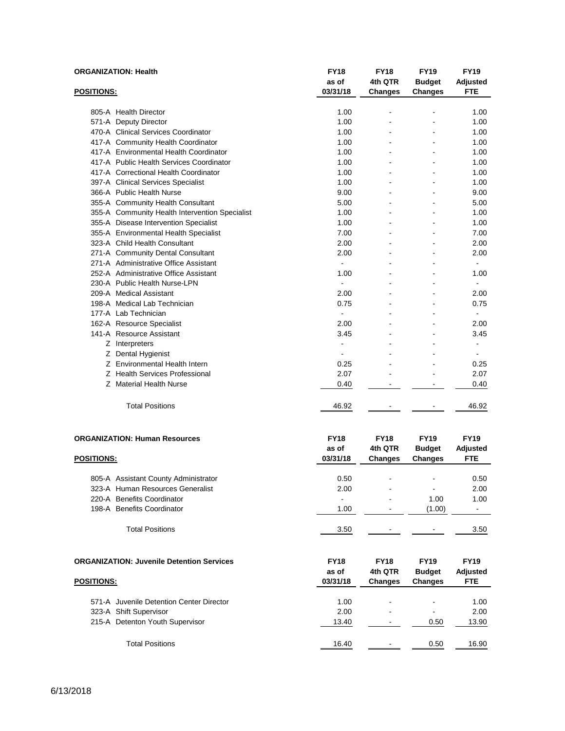|                   | <b>ORGANIZATION: Health</b>                    | <b>FY18</b><br>as of | <b>FY18</b><br>4th QTR | <b>FY19</b><br><b>Budget</b> | <b>FY19</b><br>Adjusted |
|-------------------|------------------------------------------------|----------------------|------------------------|------------------------------|-------------------------|
| <b>POSITIONS:</b> |                                                | 03/31/18             | <b>Changes</b>         | Changes                      | <b>FTE</b>              |
|                   | 805-A Health Director                          | 1.00                 |                        |                              | 1.00                    |
|                   | 571-A Deputy Director                          | 1.00                 |                        |                              | 1.00                    |
|                   | 470-A Clinical Services Coordinator            | 1.00                 |                        |                              | 1.00                    |
|                   | 417-A Community Health Coordinator             | 1.00                 | ä,                     |                              | 1.00                    |
|                   | 417-A Environmental Health Coordinator         | 1.00                 |                        |                              | 1.00                    |
|                   | 417-A Public Health Services Coordinator       | 1.00                 |                        |                              | 1.00                    |
|                   | 417-A Correctional Health Coordinator          | 1.00                 |                        |                              | 1.00                    |
|                   | 397-A Clinical Services Specialist             | 1.00                 |                        |                              | 1.00                    |
|                   | 366-A Public Health Nurse                      | 9.00                 |                        |                              | 9.00                    |
|                   | 355-A Community Health Consultant              | 5.00                 |                        |                              | 5.00                    |
|                   | 355-A Community Health Intervention Specialist | 1.00                 |                        |                              | 1.00                    |
|                   | 355-A Disease Intervention Specialist          | 1.00                 |                        |                              | 1.00                    |
|                   | 355-A Environmental Health Specialist          | 7.00                 |                        |                              | 7.00                    |
|                   | 323-A Child Health Consultant                  | 2.00                 |                        |                              | 2.00                    |
|                   | 271-A Community Dental Consultant              | 2.00                 |                        |                              | 2.00                    |
|                   | 271-A Administrative Office Assistant          |                      |                        |                              | $\blacksquare$          |
|                   | 252-A Administrative Office Assistant          | 1.00                 |                        |                              | 1.00                    |
|                   | 230-A Public Health Nurse-LPN                  | $\overline{a}$       |                        |                              | $\blacksquare$          |
|                   | 209-A Medical Assistant                        | 2.00                 |                        |                              | 2.00                    |
|                   | 198-A Medical Lab Technician                   | 0.75                 |                        |                              | 0.75                    |
|                   | 177-A Lab Technician                           |                      |                        |                              |                         |
|                   | 162-A Resource Specialist                      | 2.00                 |                        |                              | 2.00                    |
|                   | 141-A Resource Assistant                       | 3.45                 |                        |                              | 3.45                    |
|                   | Z Interpreters                                 |                      |                        |                              | L.                      |
|                   | Z Dental Hygienist                             |                      |                        |                              | ä,                      |
|                   | Z Environmental Health Intern                  | 0.25                 |                        |                              | 0.25                    |
|                   | Z Health Services Professional                 | 2.07                 |                        |                              | 2.07                    |
|                   | Z Material Health Nurse                        | 0.40                 | $\blacksquare$         | $\blacksquare$               | 0.40                    |
|                   | <b>Total Positions</b>                         | 46.92                |                        |                              | 46.92                   |
|                   | <b>ORGANIZATION: Human Resources</b>           | <b>FY18</b>          | <b>FY18</b>            | <b>FY19</b>                  | <b>FY19</b>             |
|                   |                                                | as of                | 4th QTR                | <b>Budget</b>                | Adjusted                |
| <b>POSITIONS:</b> |                                                | 03/31/18             | <b>Changes</b>         | Changes                      | <b>FTE</b>              |
|                   | 805-A Assistant County Administrator           | 0.50                 |                        | ä,                           | 0.50                    |
|                   | 323-A Human Resources Generalist               | 2.00                 | L,                     | L.                           | 2.00                    |
|                   | 220-A Benefits Coordinator                     |                      |                        | 1.00                         | 1.00                    |
|                   | 198-A Benefits Coordinator                     | 1.00                 | ä,                     | (1.00)                       | $\sim$                  |
|                   | <b>Total Positions</b>                         | 3.50                 |                        |                              | 3.50                    |

| <b>ORGANIZATION: Juvenile Detention Services</b> | <b>FY18</b><br>as of | <b>FY18</b><br>4th QTR   | <b>FY19</b><br><b>Budget</b> | <b>FY19</b><br>Adjusted |
|--------------------------------------------------|----------------------|--------------------------|------------------------------|-------------------------|
| <b>POSITIONS:</b>                                | 03/31/18             | <b>Changes</b>           | <b>Changes</b>               | <b>FTE</b>              |
|                                                  |                      |                          |                              |                         |
| 571-A Juvenile Detention Center Director         | 1.00                 | -                        | $\blacksquare$               | 1.00                    |
| 323-A Shift Supervisor                           | 2.00                 | $\overline{\phantom{a}}$ | $\blacksquare$               | 2.00                    |
| 215-A Detenton Youth Supervisor                  | 13.40                | $\overline{\phantom{a}}$ | 0.50                         | 13.90                   |
|                                                  |                      |                          |                              |                         |
| <b>Total Positions</b>                           | 16.40                | $\overline{\phantom{a}}$ | 0.50                         | 16.90                   |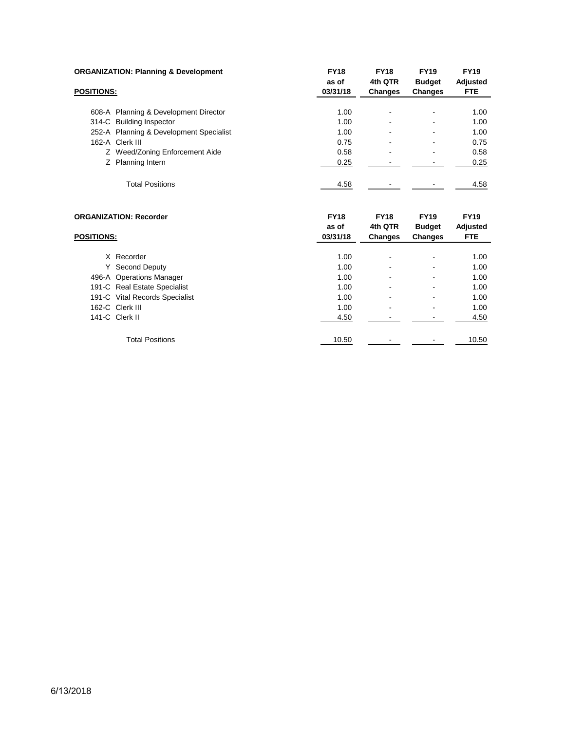| <b>ORGANIZATION: Planning &amp; Development</b>    | <b>FY18</b><br>as of             | <b>FY18</b><br>4th QTR            | <b>FY19</b><br><b>Budget</b>            | <b>FY19</b><br>Adjusted               |
|----------------------------------------------------|----------------------------------|-----------------------------------|-----------------------------------------|---------------------------------------|
| <b>POSITIONS:</b>                                  | 03/31/18                         | <b>Changes</b>                    | <b>Changes</b>                          | <b>FTE</b>                            |
| 608-A Planning & Development Director              | 1.00                             | $\qquad \qquad \blacksquare$      |                                         | 1.00                                  |
| 314-C Building Inspector                           | 1.00                             | ۰                                 |                                         | 1.00                                  |
| 252-A Planning & Development Specialist            | 1.00                             | ۰                                 |                                         | 1.00                                  |
| 162-A Clerk III                                    | 0.75                             | ۰                                 |                                         | 0.75                                  |
| Z Weed/Zoning Enforcement Aide                     | 0.58                             | -                                 |                                         | 0.58                                  |
| Z Planning Intern                                  | 0.25                             |                                   |                                         | 0.25                                  |
| <b>Total Positions</b>                             | 4.58                             |                                   |                                         | 4.58                                  |
| <b>ORGANIZATION: Recorder</b><br><b>POSITIONS:</b> | <b>FY18</b><br>as of<br>03/31/18 | <b>FY18</b><br>4th QTR<br>Changes | <b>FY19</b><br><b>Budget</b><br>Changes | <b>FY19</b><br>Adjusted<br><b>FTE</b> |
|                                                    |                                  |                                   |                                         |                                       |

| Y Second Deputy<br>1.00<br>$\,$<br>$\,$<br>496-A Operations Manager<br>1.00<br>$\,$<br>$\,$<br>191-C Real Estate Specialist<br>1.00<br>$\,$<br>$\,$<br>191-C Vital Records Specialist<br>1.00<br>$\blacksquare$<br>$\,$<br>162-C Clerk III<br>1.00<br>$\blacksquare$<br>$\,$<br>141-C Clerk II<br>4.50<br>$\,$<br>$\,$<br><b>Total Positions</b><br>10.50<br>$\,$<br>$\,$ | X Recorder | 1.00 | - | 1.00  |
|---------------------------------------------------------------------------------------------------------------------------------------------------------------------------------------------------------------------------------------------------------------------------------------------------------------------------------------------------------------------------|------------|------|---|-------|
|                                                                                                                                                                                                                                                                                                                                                                           |            |      |   | 1.00  |
|                                                                                                                                                                                                                                                                                                                                                                           |            |      |   | 1.00  |
|                                                                                                                                                                                                                                                                                                                                                                           |            |      |   | 1.00  |
|                                                                                                                                                                                                                                                                                                                                                                           |            |      |   | 1.00  |
|                                                                                                                                                                                                                                                                                                                                                                           |            |      |   | 1.00  |
|                                                                                                                                                                                                                                                                                                                                                                           |            |      |   | 4.50  |
|                                                                                                                                                                                                                                                                                                                                                                           |            |      |   |       |
|                                                                                                                                                                                                                                                                                                                                                                           |            |      |   | 10.50 |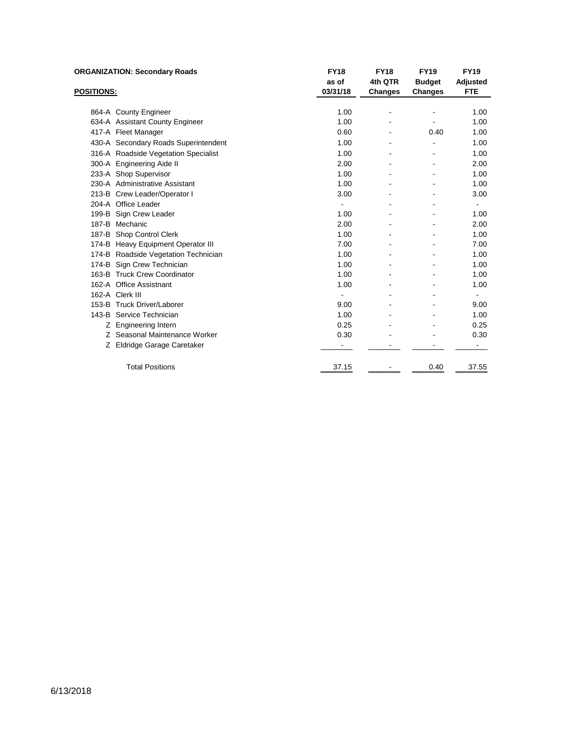| <b>ORGANIZATION: Secondary Roads</b> |                                      | <b>FY18</b>    | <b>FY18</b>    | <b>FY19</b>   | <b>FY19</b>    |
|--------------------------------------|--------------------------------------|----------------|----------------|---------------|----------------|
|                                      |                                      | as of          | 4th QTR        | <b>Budget</b> | Adjusted       |
| <b>POSITIONS:</b>                    |                                      | 03/31/18       | <b>Changes</b> | Changes       | <b>FTE</b>     |
|                                      |                                      |                |                |               |                |
|                                      | 864-A County Engineer                | 1.00           |                |               | 1.00           |
|                                      | 634-A Assistant County Engineer      | 1.00           |                |               | 1.00           |
|                                      | 417-A Fleet Manager                  | 0.60           |                | 0.40          | 1.00           |
|                                      | 430-A Secondary Roads Superintendent | 1.00           | ۰              |               | 1.00           |
|                                      | 316-A Roadside Vegetation Specialist | 1.00           |                |               | 1.00           |
|                                      | 300-A Engineering Aide II            | 2.00           |                |               | 2.00           |
|                                      | 233-A Shop Supervisor                | 1.00           |                |               | 1.00           |
|                                      | 230-A Administrative Assistant       | 1.00           |                |               | 1.00           |
|                                      | 213-B Crew Leader/Operator I         | 3.00           |                |               | 3.00           |
|                                      | 204-A Office Leader                  | ۰              |                |               |                |
|                                      | 199-B Sign Crew Leader               | 1.00           |                |               | 1.00           |
|                                      | 187-B Mechanic                       | 2.00           |                |               | 2.00           |
|                                      | 187-B Shop Control Clerk             | 1.00           |                |               | 1.00           |
|                                      | 174-B Heavy Equipment Operator III   | 7.00           |                |               | 7.00           |
|                                      | 174-B Roadside Vegetation Technician | 1.00           |                |               | 1.00           |
|                                      | 174-B Sign Crew Technician           | 1.00           |                |               | 1.00           |
|                                      | 163-B Truck Crew Coordinator         | 1.00           |                |               | 1.00           |
|                                      | 162-A Office Assistnant              | 1.00           |                |               | 1.00           |
|                                      | 162-A Clerk III                      | $\blacksquare$ |                |               | $\blacksquare$ |
|                                      | 153-B Truck Driver/Laborer           | 9.00           |                |               | 9.00           |
|                                      | 143-B Service Technician             | 1.00           |                |               | 1.00           |
|                                      | Z Engineering Intern                 | 0.25           |                |               | 0.25           |
|                                      | Z Seasonal Maintenance Worker        | 0.30           |                |               | 0.30           |
|                                      | Z Eldridge Garage Caretaker          |                |                |               |                |
|                                      | <b>Total Positions</b>               | 37.15          |                | 0.40          | 37.55          |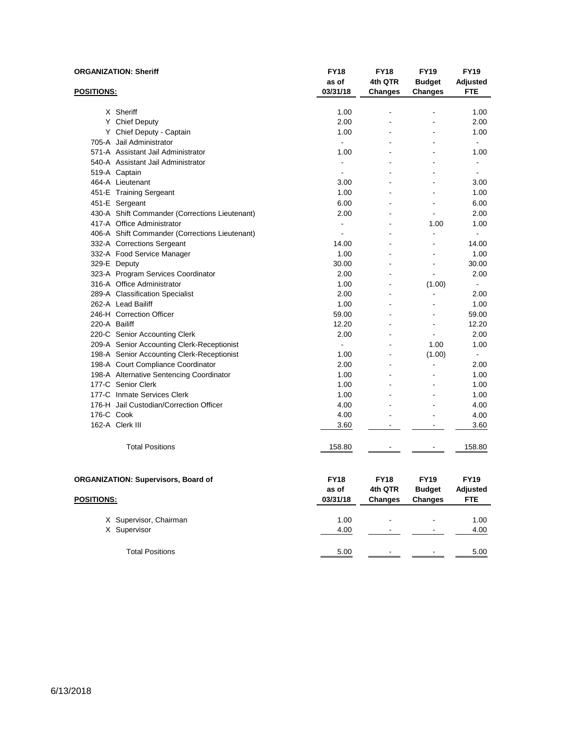|                   | <b>ORGANIZATION: Sheriff</b>                   | <b>FY18</b><br>as of | <b>FY18</b><br>4th QTR | <b>FY19</b><br><b>Budget</b> | <b>FY19</b><br>Adjusted |
|-------------------|------------------------------------------------|----------------------|------------------------|------------------------------|-------------------------|
| POSITIONS:        |                                                | 03/31/18             | <b>Changes</b>         | Changes                      | <b>FTE</b>              |
|                   | X Sheriff                                      | 1.00                 | $\blacksquare$         | ۰                            | 1.00                    |
|                   | Y Chief Deputy                                 | 2.00                 |                        |                              | 2.00                    |
|                   | Y Chief Deputy - Captain                       | 1.00                 |                        |                              | 1.00                    |
|                   | 705-A Jail Administrator                       | $\blacksquare$       |                        |                              | $\blacksquare$          |
|                   | 571-A Assistant Jail Administrator             | 1.00                 |                        |                              | 1.00                    |
|                   | 540-A Assistant Jail Administrator             | $\blacksquare$       |                        |                              | -                       |
|                   | 519-A Captain                                  |                      |                        |                              | ٠                       |
|                   | 464-A Lieutenant                               | 3.00                 |                        |                              | 3.00                    |
|                   | 451-E Training Sergeant                        | 1.00                 |                        |                              | 1.00                    |
|                   | 451-E Sergeant                                 | 6.00                 |                        |                              | 6.00                    |
|                   | 430-A Shift Commander (Corrections Lieutenant) | 2.00                 |                        |                              | 2.00                    |
|                   | 417-A Office Administrator                     | $\blacksquare$       |                        | 1.00                         | 1.00                    |
|                   | 406-A Shift Commander (Corrections Lieutenant) | $\blacksquare$       |                        | $\blacksquare$               | ÷.                      |
|                   | 332-A Corrections Sergeant                     | 14.00                |                        |                              | 14.00                   |
|                   | 332-A Food Service Manager                     | 1.00                 |                        |                              | 1.00                    |
|                   | 329-E Deputy                                   | 30.00                |                        |                              | 30.00                   |
|                   | 323-A Program Services Coordinator             | 2.00                 |                        | $\blacksquare$               | 2.00                    |
|                   | 316-A Office Administrator                     | 1.00                 |                        | (1.00)                       | ٠                       |
|                   | 289-A Classification Specialist                | 2.00                 | L,                     | ä,                           | 2.00                    |
|                   | 262-A Lead Bailiff                             | 1.00                 |                        |                              | 1.00                    |
|                   | 246-H Correction Officer                       | 59.00                |                        |                              | 59.00                   |
| 220-A Bailiff     |                                                | 12.20                |                        |                              | 12.20                   |
|                   | 220-C Senior Accounting Clerk                  | 2.00                 |                        |                              | 2.00                    |
|                   | 209-A Senior Accounting Clerk-Receptionist     | $\blacksquare$       |                        | 1.00                         | 1.00                    |
|                   | 198-A Senior Accounting Clerk-Receptionist     | 1.00                 |                        | (1.00)                       | $\blacksquare$          |
|                   | 198-A Court Compliance Coordinator             | 2.00                 |                        | ä,                           | 2.00                    |
|                   | 198-A Alternative Sentencing Coordinator       | 1.00                 |                        |                              | 1.00                    |
|                   | 177-C Senior Clerk                             | 1.00                 |                        |                              | 1.00                    |
|                   | 177-C Inmate Services Clerk                    | 1.00                 |                        |                              | 1.00                    |
|                   | 176-H Jail Custodian/Correction Officer        | 4.00                 |                        |                              | 4.00                    |
| 176-C Cook        |                                                | 4.00                 |                        |                              | 4.00                    |
|                   | 162-A Clerk III                                | 3.60                 |                        | $\overline{a}$               | 3.60                    |
|                   |                                                |                      |                        |                              |                         |
|                   | <b>Total Positions</b>                         | 158.80               |                        |                              | 158.80                  |
|                   |                                                |                      |                        |                              |                         |
|                   | <b>ORGANIZATION: Supervisors, Board of</b>     | <b>FY18</b>          | <b>FY18</b>            | <b>FY19</b>                  | <b>FY19</b>             |
|                   |                                                | as of                | 4th QTR                | <b>Budget</b>                | Adjusted                |
| <b>POSITIONS:</b> |                                                | 03/31/18             | <b>Changes</b>         | <b>Changes</b>               | <b>FTE</b>              |
|                   | X Supervisor, Chairman                         | 1.00                 |                        |                              | 1.00                    |
|                   | X Supervisor                                   | 4.00                 |                        |                              | 4.00                    |
|                   | <b>Total Positions</b>                         | 5.00                 |                        |                              | 5.00                    |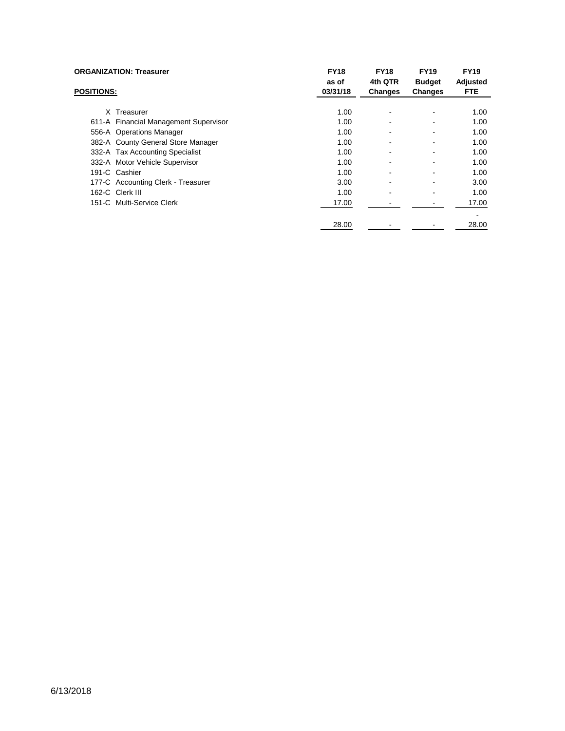| <b>ORGANIZATION: Treasurer</b><br><b>POSITIONS:</b> |                                       | <b>FY18</b><br>as of | <b>FY18</b><br>4th QTR | <b>FY19</b><br><b>Budget</b> | <b>FY19</b><br>Adjusted |
|-----------------------------------------------------|---------------------------------------|----------------------|------------------------|------------------------------|-------------------------|
|                                                     |                                       | 03/31/18             | <b>Changes</b>         | <b>Changes</b>               | <b>FTE</b>              |
|                                                     | X Treasurer                           | 1.00                 |                        |                              | 1.00                    |
|                                                     | 611-A Financial Management Supervisor | 1.00                 | ۰                      |                              | 1.00                    |
|                                                     | 556-A Operations Manager              | 1.00                 |                        |                              | 1.00                    |
|                                                     | 382-A County General Store Manager    | 1.00                 | ۰                      |                              | 1.00                    |
|                                                     | 332-A Tax Accounting Specialist       | 1.00                 |                        |                              | 1.00                    |
|                                                     | 332-A Motor Vehicle Supervisor        | 1.00                 |                        |                              | 1.00                    |
|                                                     | 191-C Cashier                         | 1.00                 |                        |                              | 1.00                    |
|                                                     | 177-C Accounting Clerk - Treasurer    | 3.00                 |                        |                              | 3.00                    |
|                                                     | 162-C Clerk III                       | 1.00                 |                        |                              | 1.00                    |
|                                                     | 151-C Multi-Service Clerk             | 17.00                |                        |                              | 17.00                   |
|                                                     |                                       |                      |                        |                              |                         |
|                                                     |                                       | 28.00                |                        |                              | 28.00                   |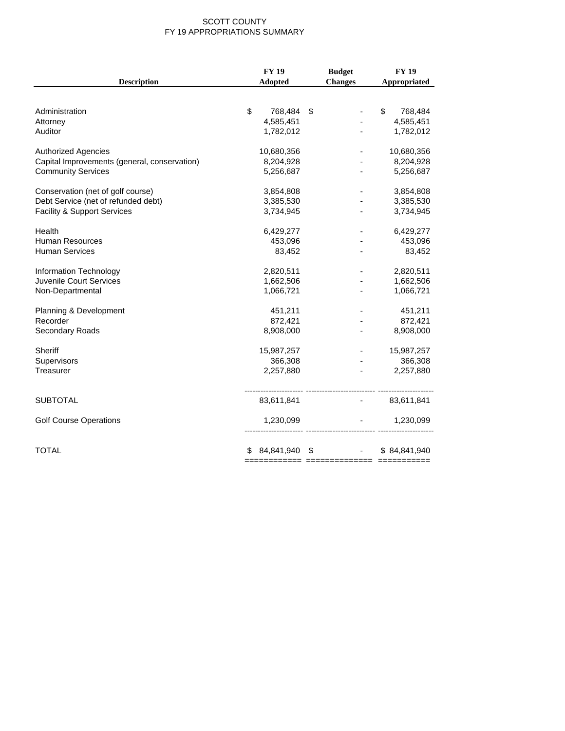#### SCOTT COUNTY FY 19 APPROPRIATIONS SUMMARY

|                                              | <b>FY 19</b>     | <b>Budget</b>                         | <b>FY 19</b>                      |
|----------------------------------------------|------------------|---------------------------------------|-----------------------------------|
| <b>Description</b>                           | <b>Adopted</b>   | <b>Changes</b>                        | Appropriated                      |
|                                              |                  |                                       |                                   |
| Administration                               | \$<br>768,484 \$ | $\overline{\phantom{a}}$              | \$<br>768,484                     |
| Attorney                                     | 4,585,451        |                                       | 4,585,451                         |
| Auditor                                      | 1,782,012        |                                       | 1,782,012                         |
| <b>Authorized Agencies</b>                   | 10,680,356       |                                       | 10,680,356                        |
| Capital Improvements (general, conservation) | 8,204,928        |                                       | 8,204,928                         |
| <b>Community Services</b>                    | 5,256,687        |                                       | 5,256,687                         |
| Conservation (net of golf course)            | 3,854,808        |                                       | 3,854,808                         |
| Debt Service (net of refunded debt)          | 3,385,530        |                                       | 3,385,530                         |
| <b>Facility &amp; Support Services</b>       | 3,734,945        |                                       | 3,734,945                         |
| Health                                       | 6,429,277        |                                       | 6,429,277                         |
| <b>Human Resources</b>                       | 453,096          |                                       | 453,096                           |
| <b>Human Services</b>                        | 83,452           | $\blacksquare$                        | 83,452                            |
| Information Technology                       | 2,820,511        | $\blacksquare$                        | 2,820,511                         |
| Juvenile Court Services                      | 1,662,506        |                                       | 1,662,506                         |
| Non-Departmental                             | 1,066,721        | $\overline{\phantom{a}}$              | 1,066,721                         |
| Planning & Development                       | 451,211          |                                       | 451,211                           |
| Recorder                                     | 872,421          |                                       | 872,421                           |
| Secondary Roads                              | 8,908,000        | $\blacksquare$                        | 8,908,000                         |
| Sheriff                                      | 15,987,257       |                                       | 15,987,257                        |
| Supervisors                                  | 366,308          |                                       | 366,308                           |
| Treasurer                                    | 2,257,880        | ÷.                                    | 2,257,880                         |
| <b>SUBTOTAL</b>                              | 83,611,841       |                                       | $-83,611,841$                     |
| <b>Golf Course Operations</b>                | 1,230,099        | -- -------------------------- ------- | 1,230,099<br><b>All Contracts</b> |
| <b>TOTAL</b>                                 |                  | $$84,841,940$ \$ $$84,841,940$        |                                   |
|                                              |                  |                                       |                                   |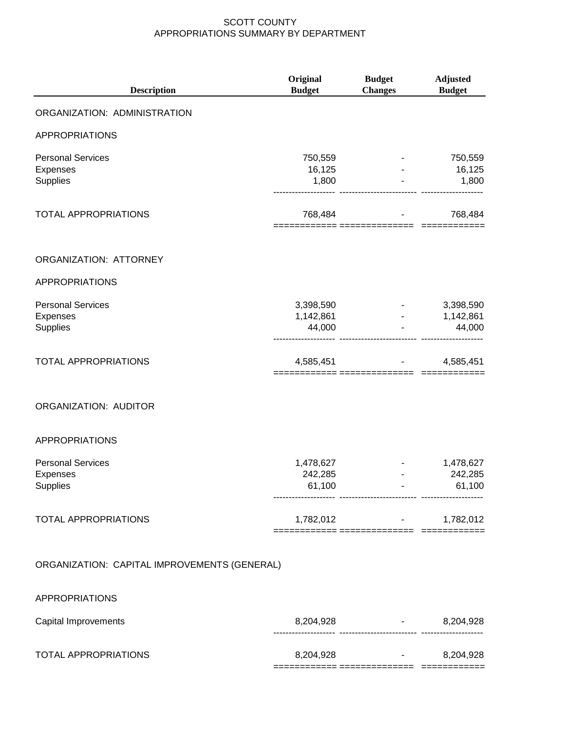| <b>Description</b>                                      | Original<br><b>Budget</b>        | <b>Budget</b><br><b>Changes</b> | <b>Adjusted</b><br><b>Budget</b> |
|---------------------------------------------------------|----------------------------------|---------------------------------|----------------------------------|
| ORGANIZATION: ADMINISTRATION                            |                                  |                                 |                                  |
| <b>APPROPRIATIONS</b>                                   |                                  |                                 |                                  |
| <b>Personal Services</b><br>Expenses<br>Supplies        | 750,559<br>16,125<br>1,800       |                                 | 750,559<br>16,125<br>1,800       |
| TOTAL APPROPRIATIONS                                    | 768,484                          |                                 | 768,484                          |
| ORGANIZATION: ATTORNEY                                  |                                  |                                 |                                  |
| <b>APPROPRIATIONS</b>                                   |                                  |                                 |                                  |
| <b>Personal Services</b><br><b>Expenses</b><br>Supplies | 3,398,590<br>1,142,861<br>44,000 | <b>All Contracts</b>            | 3,398,590<br>1,142,861<br>44,000 |
| <b>TOTAL APPROPRIATIONS</b>                             | 4,585,451                        |                                 | 4,585,451                        |
| ORGANIZATION: AUDITOR                                   |                                  |                                 |                                  |
| <b>APPROPRIATIONS</b>                                   |                                  |                                 |                                  |
| <b>Personal Services</b><br><b>Expenses</b><br>Supplies | 1,478,627<br>242,285<br>61,100   |                                 | 1,478,627<br>242,285<br>61,100   |
| <b>TOTAL APPROPRIATIONS</b>                             |                                  | $1,782,012$ -                   | 1,782,012                        |
| ORGANIZATION: CAPITAL IMPROVEMENTS (GENERAL)            |                                  |                                 |                                  |

APPROPRIATIONS

| Capital Improvements | 8.204.928 | - | 8,204,928 |
|----------------------|-----------|---|-----------|
| TOTAL APPROPRIATIONS | 8,204,928 | ۰ | 8,204,928 |
|                      |           |   |           |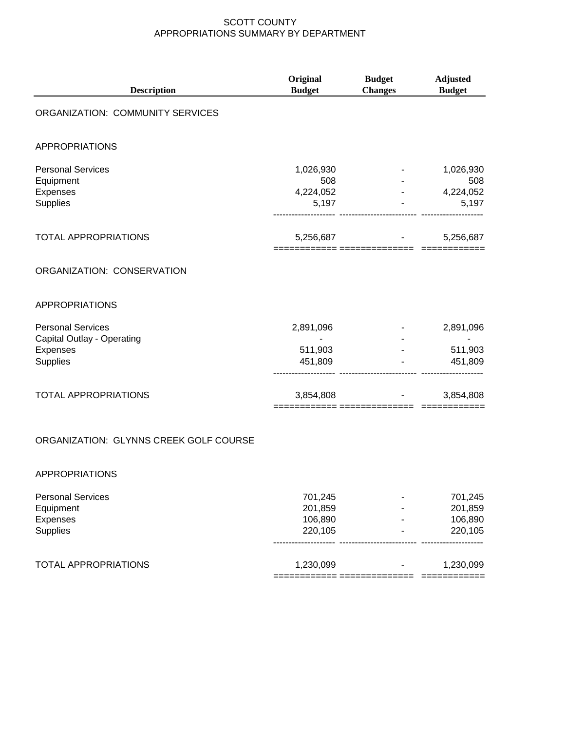| <b>Description</b>                                                             | Original<br><b>Budget</b>              | <b>Budget</b><br><b>Changes</b> | <b>Adjusted</b><br><b>Budget</b>       |
|--------------------------------------------------------------------------------|----------------------------------------|---------------------------------|----------------------------------------|
| ORGANIZATION: COMMUNITY SERVICES                                               |                                        |                                 |                                        |
| <b>APPROPRIATIONS</b>                                                          |                                        |                                 |                                        |
| <b>Personal Services</b><br>Equipment<br>Expenses<br>Supplies                  | 1,026,930<br>508<br>4,224,052<br>5,197 |                                 | 1,026,930<br>508<br>4,224,052<br>5,197 |
| <b>TOTAL APPROPRIATIONS</b>                                                    | 5,256,687                              | === ============                | 5,256,687                              |
| ORGANIZATION: CONSERVATION                                                     |                                        |                                 |                                        |
| <b>APPROPRIATIONS</b>                                                          |                                        |                                 |                                        |
| <b>Personal Services</b><br>Capital Outlay - Operating<br>Expenses<br>Supplies | 2,891,096<br>511,903<br>451,809        |                                 | 2,891,096<br>511,903<br>451,809        |
| TOTAL APPROPRIATIONS                                                           | 3,854,808<br>============ ==========   |                                 | 3,854,808                              |
| ORGANIZATION: GLYNNS CREEK GOLF COURSE                                         |                                        |                                 |                                        |
| <b>APPROPRIATIONS</b>                                                          |                                        |                                 |                                        |

| <b>Personal Services</b> | 701.245   |                | 701,245   |
|--------------------------|-----------|----------------|-----------|
| Equipment                | 201,859   | -              | 201,859   |
| Expenses                 | 106.890   |                | 106,890   |
| <b>Supplies</b>          | 220,105   |                | 220,105   |
| TOTAL APPROPRIATIONS     | 1,230,099 | $\blacksquare$ | 1,230,099 |
|                          |           |                |           |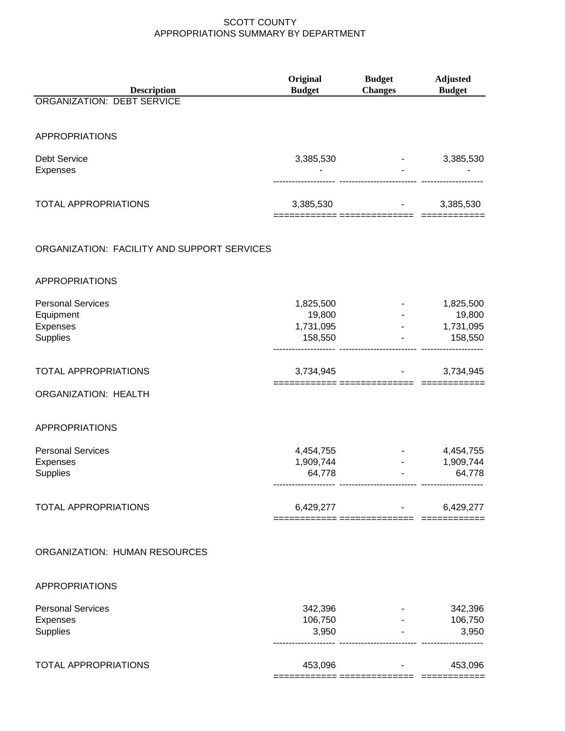| <b>Description</b><br><b>ORGANIZATION: DEBT SERVICE</b>       | Original<br><b>Budget</b>                   | <b>Budget</b><br><b>Changes</b> | <b>Adjusted</b><br><b>Budget</b>            |
|---------------------------------------------------------------|---------------------------------------------|---------------------------------|---------------------------------------------|
|                                                               |                                             |                                 |                                             |
| <b>APPROPRIATIONS</b>                                         |                                             |                                 |                                             |
| <b>Debt Service</b><br>Expenses                               | 3,385,530                                   |                                 | 3,385,530                                   |
| <b>TOTAL APPROPRIATIONS</b>                                   | 3,385,530                                   |                                 | 3,385,530                                   |
| ORGANIZATION: FACILITY AND SUPPORT SERVICES                   |                                             |                                 |                                             |
| <b>APPROPRIATIONS</b>                                         |                                             |                                 |                                             |
| <b>Personal Services</b><br>Equipment<br>Expenses<br>Supplies | 1,825,500<br>19,800<br>1,731,095<br>158,550 |                                 | 1,825,500<br>19,800<br>1,731,095<br>158,550 |
| <b>TOTAL APPROPRIATIONS</b>                                   | 3,734,945                                   |                                 | 3,734,945                                   |
| <b>ORGANIZATION: HEALTH</b>                                   |                                             |                                 |                                             |
| <b>APPROPRIATIONS</b>                                         |                                             |                                 |                                             |
| <b>Personal Services</b><br>Expenses<br><b>Supplies</b>       | 4,454,755<br>1,909,744<br>64,778            |                                 | 4,454,755<br>1,909,744<br>64,778            |
| <b>TOTAL APPROPRIATIONS</b>                                   | 6,429,277                                   | ---------- ----------------     | 6,429,277                                   |
| <b>ORGANIZATION: HUMAN RESOURCES</b>                          |                                             |                                 |                                             |
| <b>APPROPRIATIONS</b>                                         |                                             |                                 |                                             |
| <b>Personal Services</b><br>Expenses<br>Supplies              | 342,396<br>106,750<br>3,950                 |                                 | 342,396<br>106,750<br>3,950                 |
| <b>TOTAL APPROPRIATIONS</b>                                   | 453,096                                     |                                 | 453,096                                     |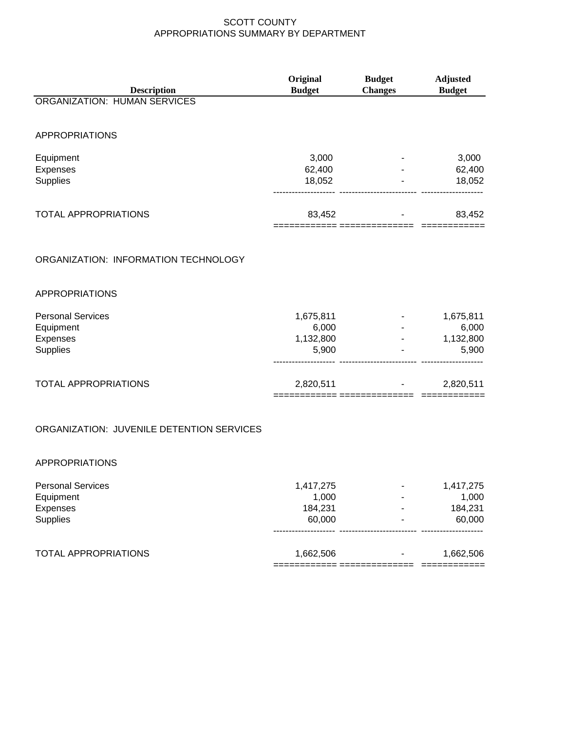| <b>Description</b><br><b>Budget</b><br><b>ORGANIZATION: HUMAN SERVICES</b><br><b>APPROPRIATIONS</b><br>3,000<br>Equipment<br>62,400<br>Expenses<br><b>Supplies</b><br>18,052<br><b>TOTAL APPROPRIATIONS</b><br>83,452 |                | <b>Adjusted</b> |
|-----------------------------------------------------------------------------------------------------------------------------------------------------------------------------------------------------------------------|----------------|-----------------|
|                                                                                                                                                                                                                       | <b>Changes</b> | <b>Budget</b>   |
|                                                                                                                                                                                                                       |                |                 |
|                                                                                                                                                                                                                       |                |                 |
|                                                                                                                                                                                                                       |                |                 |
|                                                                                                                                                                                                                       |                | 3,000           |
|                                                                                                                                                                                                                       |                | 62,400          |
|                                                                                                                                                                                                                       |                | 18,052          |
|                                                                                                                                                                                                                       |                | 83,452          |
| ORGANIZATION: INFORMATION TECHNOLOGY                                                                                                                                                                                  |                |                 |
| <b>APPROPRIATIONS</b>                                                                                                                                                                                                 |                |                 |
| <b>Personal Services</b><br>1,675,811                                                                                                                                                                                 |                | 1,675,811       |
| Equipment<br>6,000                                                                                                                                                                                                    |                | 6,000           |
| 1,132,800<br>Expenses                                                                                                                                                                                                 |                | 1,132,800       |
| Supplies<br>5,900                                                                                                                                                                                                     |                | 5,900           |
| <b>TOTAL APPROPRIATIONS</b><br>2,820,511                                                                                                                                                                              |                | 2,820,511       |
| ORGANIZATION: JUVENILE DETENTION SERVICES                                                                                                                                                                             |                |                 |
| <b>APPROPRIATIONS</b>                                                                                                                                                                                                 |                |                 |
| <b>Personal Services</b><br>1,417,275                                                                                                                                                                                 |                | 1,417,275       |
| 1,000<br>Equipment                                                                                                                                                                                                    |                | 1,000           |
| 184,231<br>Expenses                                                                                                                                                                                                   |                | 184,231         |
| <b>Supplies</b><br>60,000                                                                                                                                                                                             |                | 60,000          |
| <b>TOTAL APPROPRIATIONS</b><br>1,662,506                                                                                                                                                                              |                | 1,662,506       |

============ ============== ============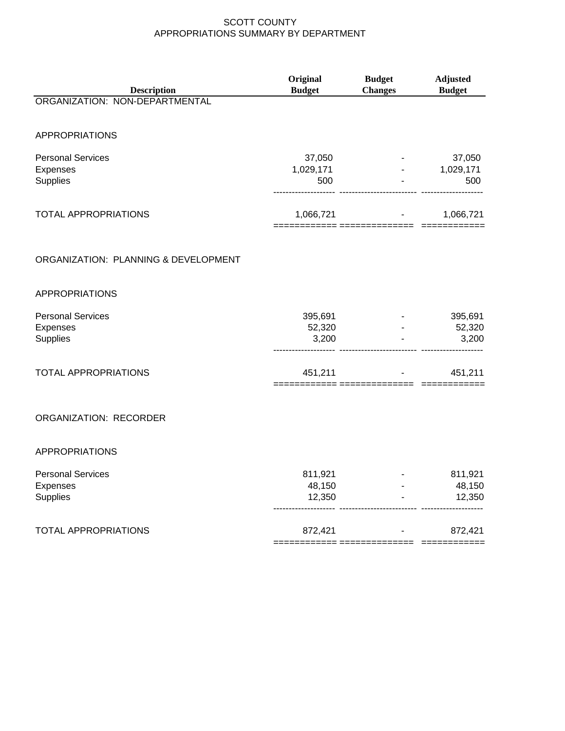| <b>Description</b>                                      | Original<br><b>Budget</b>   | <b>Budget</b><br><b>Changes</b> | <b>Adjusted</b><br><b>Budget</b> |
|---------------------------------------------------------|-----------------------------|---------------------------------|----------------------------------|
| ORGANIZATION: NON-DEPARTMENTAL                          |                             |                                 |                                  |
| <b>APPROPRIATIONS</b>                                   |                             |                                 |                                  |
| <b>Personal Services</b><br>Expenses<br>Supplies        | 37,050<br>1,029,171<br>500  | $\omega_{\rm{max}}$             | 37,050<br>1,029,171<br>500       |
| <b>TOTAL APPROPRIATIONS</b>                             |                             | $1,066,721$ -                   | 1,066,721                        |
| ORGANIZATION: PLANNING & DEVELOPMENT                    |                             |                                 |                                  |
| <b>APPROPRIATIONS</b>                                   |                             |                                 |                                  |
| <b>Personal Services</b><br>Expenses<br><b>Supplies</b> | 395,691<br>52,320<br>3,200  |                                 | 395,691<br>52,320<br>3,200       |
| <b>TOTAL APPROPRIATIONS</b>                             | 451,211                     | ======= =============== ======= | 451,211                          |
| ORGANIZATION: RECORDER                                  |                             |                                 |                                  |
| <b>APPROPRIATIONS</b>                                   |                             |                                 |                                  |
| <b>Personal Services</b><br>Expenses<br>Supplies        | 811,921<br>48,150<br>12,350 |                                 | 811,921<br>48,150<br>12,350      |
| <b>TOTAL APPROPRIATIONS</b>                             | 872,421                     |                                 | 872,421                          |

============ ============== ============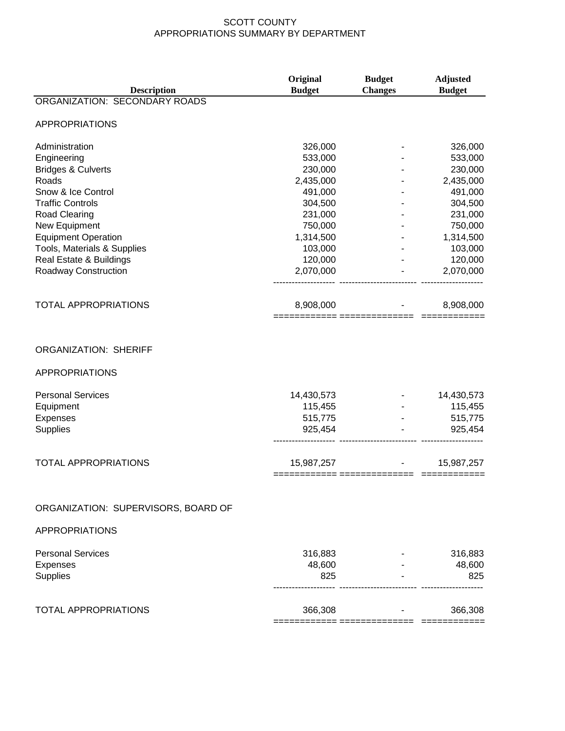| <b>Description</b>                                                                                                     | Original<br><b>Budget</b>                   | <b>Budget</b><br><b>Changes</b> | <b>Adjusted</b><br><b>Budget</b>            |
|------------------------------------------------------------------------------------------------------------------------|---------------------------------------------|---------------------------------|---------------------------------------------|
| ORGANIZATION: SECONDARY ROADS                                                                                          |                                             |                                 |                                             |
| <b>APPROPRIATIONS</b>                                                                                                  |                                             |                                 |                                             |
| Administration                                                                                                         | 326,000                                     |                                 | 326,000                                     |
| Engineering                                                                                                            | 533,000                                     |                                 | 533,000                                     |
| <b>Bridges &amp; Culverts</b>                                                                                          | 230,000                                     |                                 | 230,000                                     |
| Roads                                                                                                                  | 2,435,000                                   |                                 | 2,435,000                                   |
| Snow & Ice Control                                                                                                     | 491,000                                     |                                 | 491,000                                     |
| <b>Traffic Controls</b>                                                                                                | 304,500                                     |                                 | 304,500                                     |
| <b>Road Clearing</b>                                                                                                   | 231,000                                     |                                 | 231,000                                     |
| New Equipment                                                                                                          | 750,000                                     |                                 | 750,000                                     |
| <b>Equipment Operation</b>                                                                                             | 1,314,500                                   |                                 | 1,314,500                                   |
| Tools, Materials & Supplies                                                                                            | 103,000                                     |                                 | 103,000                                     |
| Real Estate & Buildings                                                                                                | 120,000                                     |                                 | 120,000                                     |
| Roadway Construction                                                                                                   | 2,070,000                                   |                                 | 2,070,000                                   |
|                                                                                                                        |                                             |                                 |                                             |
| <b>TOTAL APPROPRIATIONS</b>                                                                                            | 8,908,000                                   |                                 | 8,908,000                                   |
| <b>ORGANIZATION: SHERIFF</b><br><b>APPROPRIATIONS</b><br><b>Personal Services</b><br>Equipment<br>Expenses<br>Supplies | 14,430,573<br>115,455<br>515,775<br>925,454 |                                 | 14,430,573<br>115,455<br>515,775<br>925,454 |
| <b>TOTAL APPROPRIATIONS</b>                                                                                            | 15,987,257                                  |                                 | 15,987,257                                  |
| ORGANIZATION: SUPERVISORS, BOARD OF                                                                                    |                                             |                                 |                                             |
| <b>APPROPRIATIONS</b>                                                                                                  |                                             |                                 |                                             |
| <b>Personal Services</b>                                                                                               | 316,883                                     |                                 |                                             |
|                                                                                                                        | 48,600                                      |                                 | 316,883<br>48,600                           |
| Expenses<br><b>Supplies</b>                                                                                            | 825                                         |                                 | 825                                         |
| <b>TOTAL APPROPRIATIONS</b>                                                                                            | 366,308                                     |                                 | 366,308                                     |
|                                                                                                                        |                                             | === =============== =======     |                                             |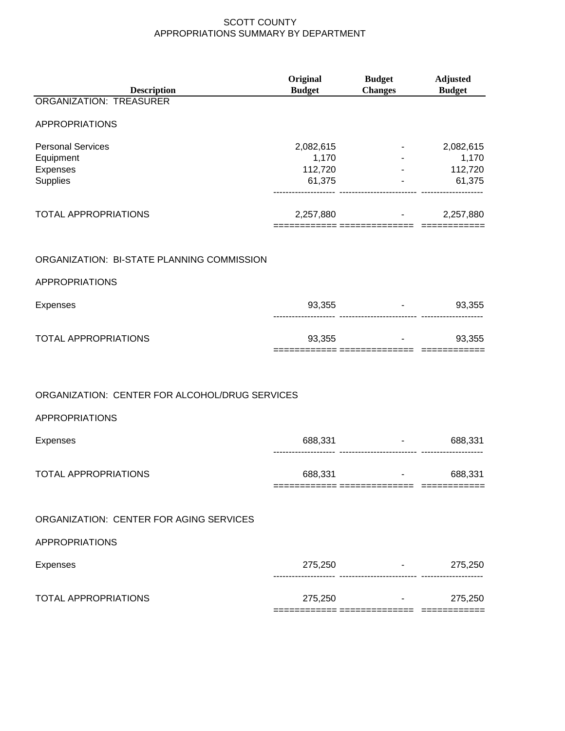| <b>Description</b>                             | Original<br><b>Budget</b> | <b>Budget</b><br><b>Changes</b>     | <b>Adjusted</b><br><b>Budget</b>                                                                           |
|------------------------------------------------|---------------------------|-------------------------------------|------------------------------------------------------------------------------------------------------------|
| <b>ORGANIZATION: TREASURER</b>                 |                           |                                     |                                                                                                            |
| <b>APPROPRIATIONS</b>                          |                           |                                     |                                                                                                            |
| <b>Personal Services</b>                       | 2,082,615                 |                                     | 2,082,615                                                                                                  |
| Equipment<br>Expenses                          | 1,170<br>112,720          |                                     | 1,170<br>$-$ 112,720                                                                                       |
| Supplies                                       | 61,375                    |                                     | $-61,375$                                                                                                  |
| <b>TOTAL APPROPRIATIONS</b>                    | 2,257,880                 |                                     | 2,257,880<br>$\frac{1}{2}$ , $\frac{1}{2}$ , $\frac{1}{2}$ , $\frac{1}{2}$ , $\frac{1}{2}$ , $\frac{1}{2}$ |
| ORGANIZATION: BI-STATE PLANNING COMMISSION     |                           |                                     |                                                                                                            |
| <b>APPROPRIATIONS</b>                          |                           |                                     |                                                                                                            |
| <b>Expenses</b>                                |                           | 93,355                              | 93,355<br><b>Harry Committee</b>                                                                           |
| <b>TOTAL APPROPRIATIONS</b>                    |                           | 93,355                              | 93,355                                                                                                     |
|                                                |                           |                                     |                                                                                                            |
| ORGANIZATION: CENTER FOR ALCOHOL/DRUG SERVICES |                           |                                     |                                                                                                            |
| <b>APPROPRIATIONS</b>                          |                           |                                     |                                                                                                            |
| <b>Expenses</b>                                | 688,331                   | -------------------------- -------- | 688,331<br><b>Contract Contract</b>                                                                        |
| <b>TOTAL APPROPRIATIONS</b>                    | 688,331                   | $\sim$<br>------------ --           | 688,331                                                                                                    |
| ORGANIZATION: CENTER FOR AGING SERVICES        |                           |                                     |                                                                                                            |
| <b>APPROPRIATIONS</b>                          |                           |                                     |                                                                                                            |
| <b>Expenses</b>                                |                           | 275,250 - 275,250                   |                                                                                                            |
| <b>TOTAL APPROPRIATIONS</b>                    |                           | $275,250$ -                         | 275,250                                                                                                    |
|                                                |                           |                                     |                                                                                                            |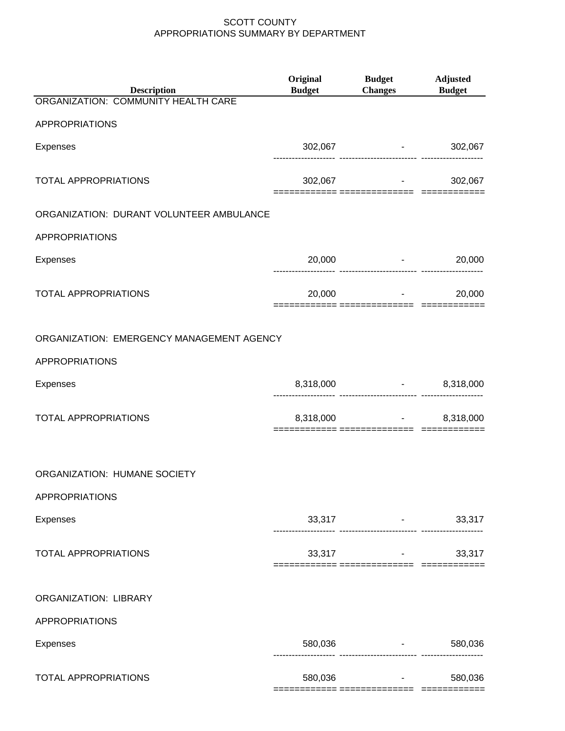| <b>Description</b>                        | <b>Original</b><br><b>Budget</b>      | <b>Budget</b><br>Changes Budget                            | Adjusted |
|-------------------------------------------|---------------------------------------|------------------------------------------------------------|----------|
| ORGANIZATION: COMMUNITY HEALTH CARE       |                                       |                                                            |          |
| <b>APPROPRIATIONS</b>                     |                                       |                                                            |          |
| <b>Expenses</b>                           |                                       | 302,067 - 302,067                                          |          |
| <b>TOTAL APPROPRIATIONS</b>               |                                       | $302,067$ -                                                | 302,067  |
| ORGANIZATION: DURANT VOLUNTEER AMBULANCE  |                                       |                                                            |          |
| <b>APPROPRIATIONS</b>                     |                                       |                                                            |          |
| Expenses                                  |                                       | $20,000$ -                                                 | 20,000   |
| <b>TOTAL APPROPRIATIONS</b>               |                                       | $20,000$ -                                                 | 20,000   |
| ORGANIZATION: EMERGENCY MANAGEMENT AGENCY |                                       |                                                            |          |
| <b>APPROPRIATIONS</b>                     |                                       |                                                            |          |
| Expenses                                  |                                       | 8,318,000 - 8,318,000<br>------------------------- ------- |          |
| <b>TOTAL APPROPRIATIONS</b>               |                                       | 8,318,000 - 8,318,000                                      |          |
| ORGANIZATION: HUMANE SOCIETY              |                                       |                                                            |          |
| APPROPRIATIONS                            |                                       |                                                            |          |
| Expenses                                  |                                       | $33,317$ -<br>------------------------- ---------          | 33,317   |
| <b>TOTAL APPROPRIATIONS</b>               | ============ =============== ======== | $33,317$ -                                                 | 33,317   |
| <b>ORGANIZATION: LIBRARY</b>              |                                       |                                                            |          |
| <b>APPROPRIATIONS</b>                     |                                       |                                                            |          |
| Expenses                                  |                                       | 580,036 - 1<br>---------------------- --------             | 580,036  |
| <b>TOTAL APPROPRIATIONS</b>               | 580,036                               | ======== =============== ======                            | 580,036  |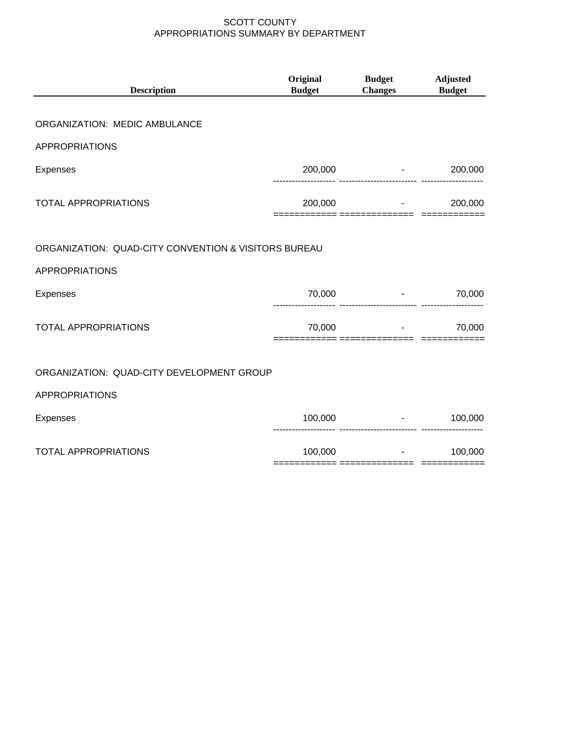| <b>Description</b>                                   | Original<br><b>Budget</b> | <b>Budget</b><br><b>Changes</b> | <b>Adjusted</b><br><b>Budget</b>                                     |
|------------------------------------------------------|---------------------------|---------------------------------|----------------------------------------------------------------------|
| ORGANIZATION: MEDIC AMBULANCE                        |                           |                                 |                                                                      |
| <b>APPROPRIATIONS</b>                                |                           |                                 |                                                                      |
| Expenses                                             |                           | $200,000$ -                     | 200,000                                                              |
| <b>TOTAL APPROPRIATIONS</b>                          | 200,000                   |                                 | 200,000                                                              |
| ORGANIZATION: QUAD-CITY CONVENTION & VISITORS BUREAU |                           | ====== ===========              |                                                                      |
| <b>APPROPRIATIONS</b>                                |                           |                                 |                                                                      |
| Expenses                                             | 70,000                    |                                 | 70,000                                                               |
| <b>TOTAL APPROPRIATIONS</b>                          | 70,000                    |                                 | 70,000                                                               |
| ORGANIZATION: QUAD-CITY DEVELOPMENT GROUP            |                           |                                 |                                                                      |
| <b>APPROPRIATIONS</b>                                |                           |                                 |                                                                      |
| <b>Expenses</b>                                      | 100,000                   |                                 | 100,000<br>$\bullet$ - $\bullet$ - $\bullet$ - $\bullet$ - $\bullet$ |
| <b>TOTAL APPROPRIATIONS</b>                          | 100,000                   | And Contractor                  | 100,000                                                              |
|                                                      |                           |                                 |                                                                      |